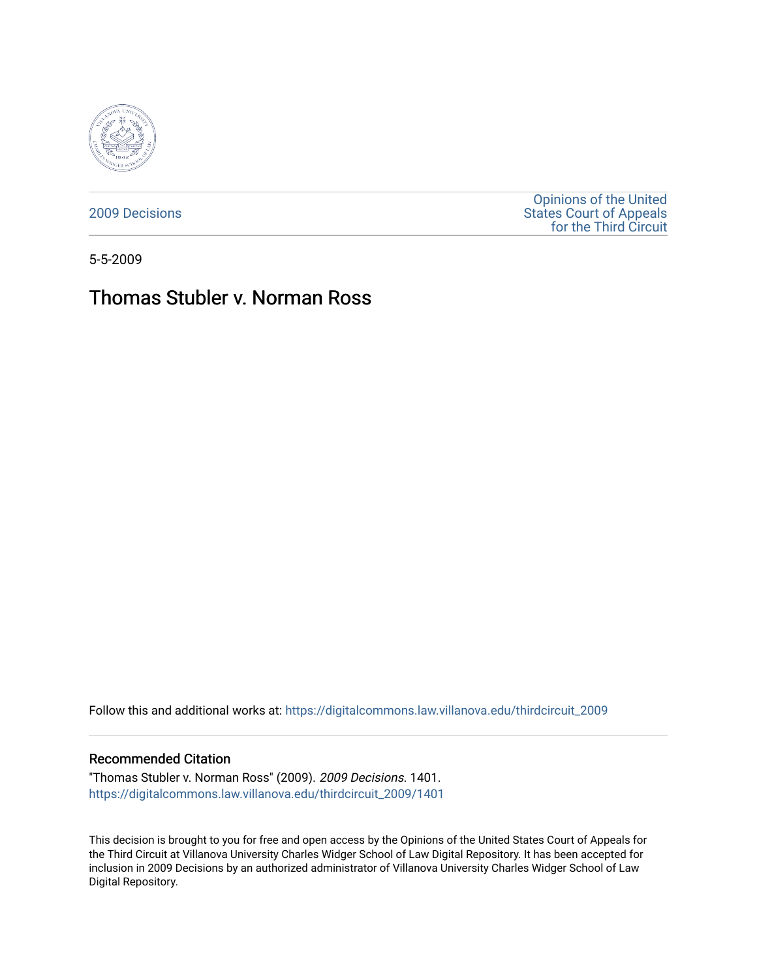

[2009 Decisions](https://digitalcommons.law.villanova.edu/thirdcircuit_2009)

[Opinions of the United](https://digitalcommons.law.villanova.edu/thirdcircuit)  [States Court of Appeals](https://digitalcommons.law.villanova.edu/thirdcircuit)  [for the Third Circuit](https://digitalcommons.law.villanova.edu/thirdcircuit) 

5-5-2009

# Thomas Stubler v. Norman Ross

Follow this and additional works at: [https://digitalcommons.law.villanova.edu/thirdcircuit\\_2009](https://digitalcommons.law.villanova.edu/thirdcircuit_2009?utm_source=digitalcommons.law.villanova.edu%2Fthirdcircuit_2009%2F1401&utm_medium=PDF&utm_campaign=PDFCoverPages) 

#### Recommended Citation

"Thomas Stubler v. Norman Ross" (2009). 2009 Decisions. 1401. [https://digitalcommons.law.villanova.edu/thirdcircuit\\_2009/1401](https://digitalcommons.law.villanova.edu/thirdcircuit_2009/1401?utm_source=digitalcommons.law.villanova.edu%2Fthirdcircuit_2009%2F1401&utm_medium=PDF&utm_campaign=PDFCoverPages) 

This decision is brought to you for free and open access by the Opinions of the United States Court of Appeals for the Third Circuit at Villanova University Charles Widger School of Law Digital Repository. It has been accepted for inclusion in 2009 Decisions by an authorized administrator of Villanova University Charles Widger School of Law Digital Repository.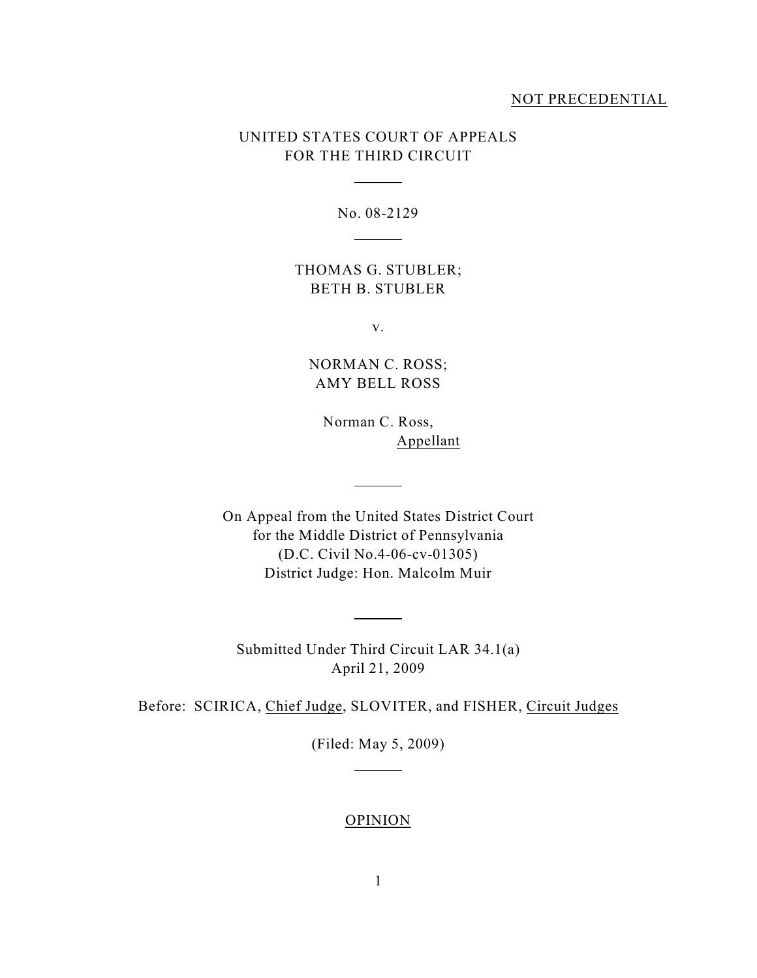### NOT PRECEDENTIAL

## UNITED STATES COURT OF APPEALS FOR THE THIRD CIRCUIT

 $\overline{a}$ 

l

No. 08-2129

THOMAS G. STUBLER; BETH B. STUBLER

v.

NORMAN C. ROSS; AMY BELL ROSS

Norman C. Ross, Appellant

On Appeal from the United States District Court for the Middle District of Pennsylvania (D.C. Civil No.4-06-cv-01305) District Judge: Hon. Malcolm Muir

 $\sim$  100  $\mu$  m  $^{-1}$  .

Submitted Under Third Circuit LAR 34.1(a) April 21, 2009

 $\overline{a}$ 

Before: SCIRICA, Chief Judge, SLOVITER, and FISHER, Circuit Judges

(Filed: May 5, 2009)

l

#### **OPINION**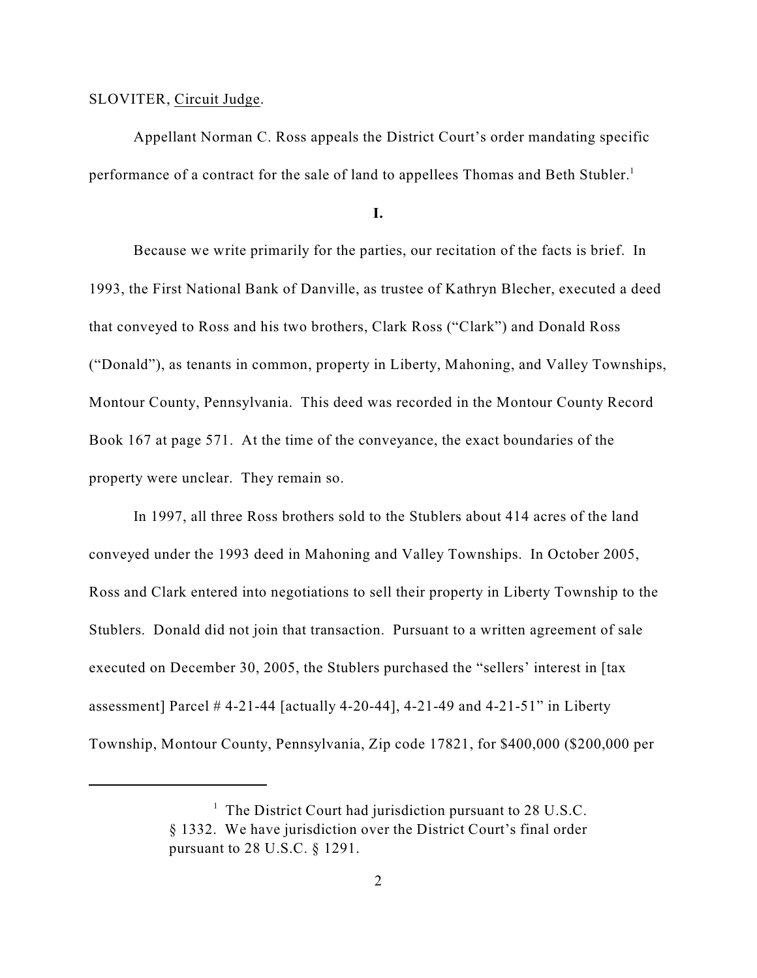### SLOVITER, Circuit Judge.

Appellant Norman C. Ross appeals the District Court's order mandating specific performance of a contract for the sale of land to appellees Thomas and Beth Stubler.<sup>1</sup>

**I.**

Because we write primarily for the parties, our recitation of the facts is brief. In 1993, the First National Bank of Danville, as trustee of Kathryn Blecher, executed a deed that conveyed to Ross and his two brothers, Clark Ross ("Clark") and Donald Ross ("Donald"), as tenants in common, property in Liberty, Mahoning, and Valley Townships, Montour County, Pennsylvania. This deed was recorded in the Montour County Record Book 167 at page 571. At the time of the conveyance, the exact boundaries of the property were unclear. They remain so.

In 1997, all three Ross brothers sold to the Stublers about 414 acres of the land conveyed under the 1993 deed in Mahoning and Valley Townships. In October 2005, Ross and Clark entered into negotiations to sell their property in Liberty Township to the Stublers. Donald did not join that transaction. Pursuant to a written agreement of sale executed on December 30, 2005, the Stublers purchased the "sellers' interest in [tax assessment] Parcel  $# 4-21-44$  [actually 4-20-44], 4-21-49 and 4-21-51" in Liberty Township, Montour County, Pennsylvania, Zip code 17821, for \$400,000 (\$200,000 per

 $<sup>1</sup>$  The District Court had jurisdiction pursuant to 28 U.S.C.</sup> § 1332. We have jurisdiction over the District Court's final order pursuant to 28 U.S.C. § 1291.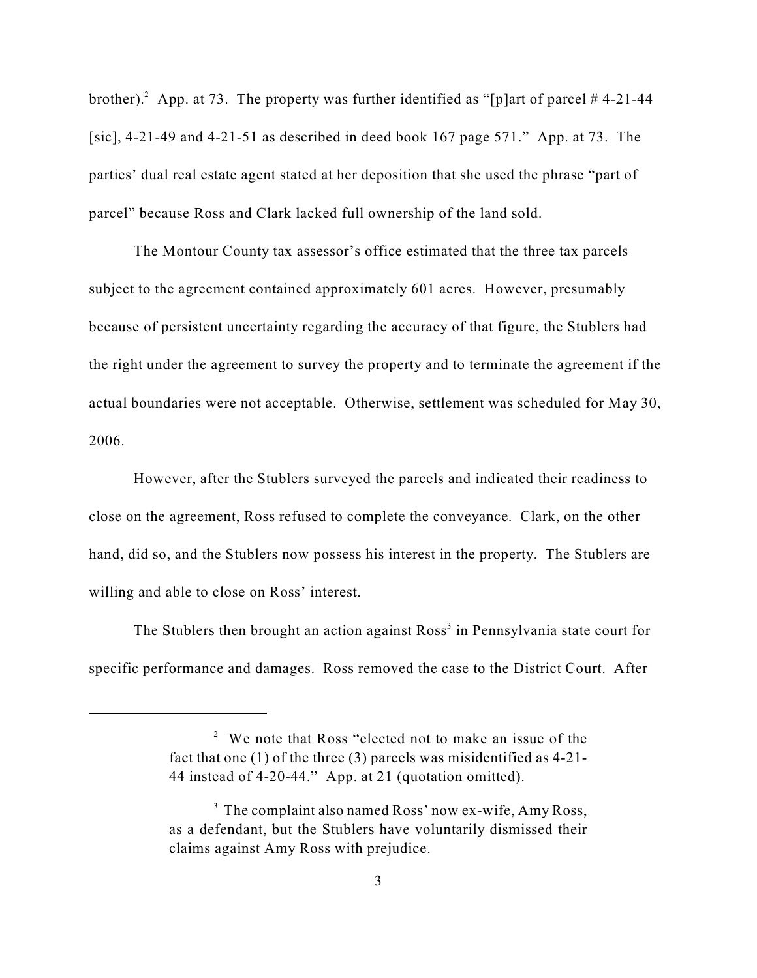brother). App. at 73. The property was further identified as "[p]art of parcel #4-21-44 [sic],  $4-21-49$  and  $4-21-51$  as described in deed book 167 page 571." App. at 73. The parties' dual real estate agent stated at her deposition that she used the phrase "part of parcel" because Ross and Clark lacked full ownership of the land sold.

The Montour County tax assessor's office estimated that the three tax parcels subject to the agreement contained approximately 601 acres. However, presumably because of persistent uncertainty regarding the accuracy of that figure, the Stublers had the right under the agreement to survey the property and to terminate the agreement if the actual boundaries were not acceptable. Otherwise, settlement was scheduled for May 30, 2006.

However, after the Stublers surveyed the parcels and indicated their readiness to close on the agreement, Ross refused to complete the conveyance. Clark, on the other hand, did so, and the Stublers now possess his interest in the property. The Stublers are willing and able to close on Ross' interest.

The Stublers then brought an action against  $Ross^3$  in Pennsylvania state court for specific performance and damages. Ross removed the case to the District Court. After

 $\degree$  We note that Ross "elected not to make an issue of the fact that one (1) of the three (3) parcels was misidentified as 4-21- 44 instead of 4-20-44." App. at 21 (quotation omitted).

 $3$  The complaint also named Ross' now ex-wife, Amy Ross, as a defendant, but the Stublers have voluntarily dismissed their claims against Amy Ross with prejudice.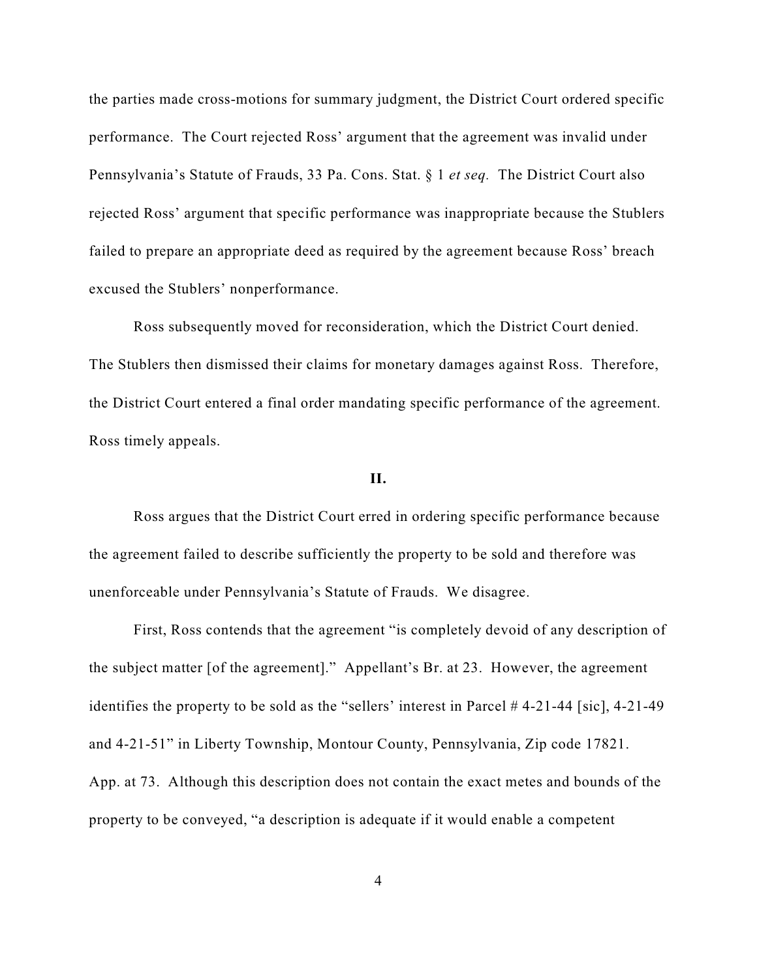the parties made cross-motions for summary judgment, the District Court ordered specific performance. The Court rejected Ross' argument that the agreement was invalid under Pennsylvania's Statute of Frauds, 33 Pa. Cons. Stat. § 1 *et seq.* The District Court also rejected Ross' argument that specific performance was inappropriate because the Stublers failed to prepare an appropriate deed as required by the agreement because Ross' breach excused the Stublers' nonperformance.

Ross subsequently moved for reconsideration, which the District Court denied. The Stublers then dismissed their claims for monetary damages against Ross. Therefore, the District Court entered a final order mandating specific performance of the agreement. Ross timely appeals.

### **II.**

Ross argues that the District Court erred in ordering specific performance because the agreement failed to describe sufficiently the property to be sold and therefore was unenforceable under Pennsylvania's Statute of Frauds. We disagree.

First, Ross contends that the agreement "is completely devoid of any description of the subject matter [of the agreement]." Appellant's Br. at 23. However, the agreement identifies the property to be sold as the "sellers' interest in Parcel # 4-21-44 [sic], 4-21-49 and 4-21-51" in Liberty Township, Montour County, Pennsylvania, Zip code 17821. App. at 73. Although this description does not contain the exact metes and bounds of the property to be conveyed, "a description is adequate if it would enable a competent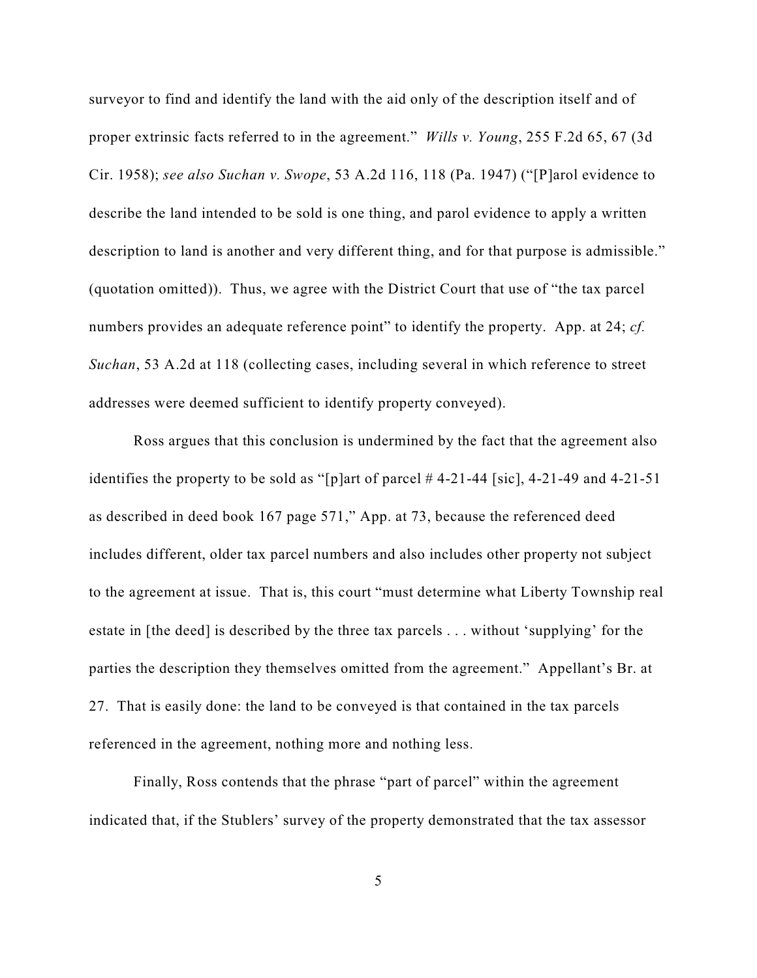surveyor to find and identify the land with the aid only of the description itself and of proper extrinsic facts referred to in the agreement." *Wills v. Young*, 255 F.2d 65, 67 (3d Cir. 1958); *see also Suchan v. Swope*, 53 A.2d 116, 118 (Pa. 1947) ("[P]arol evidence to describe the land intended to be sold is one thing, and parol evidence to apply a written description to land is another and very different thing, and for that purpose is admissible." (quotation omitted)). Thus, we agree with the District Court that use of "the tax parcel numbers provides an adequate reference point" to identify the property. App. at 24; *cf. Suchan*, 53 A.2d at 118 (collecting cases, including several in which reference to street addresses were deemed sufficient to identify property conveyed).

Ross argues that this conclusion is undermined by the fact that the agreement also identifies the property to be sold as "[p]art of parcel  $# 4-21-44$  [sic], 4-21-49 and 4-21-51 as described in deed book 167 page 571," App. at 73, because the referenced deed includes different, older tax parcel numbers and also includes other property not subject to the agreement at issue. That is, this court "must determine what Liberty Township real estate in [the deed] is described by the three tax parcels . . . without 'supplying' for the parties the description they themselves omitted from the agreement." Appellant's Br. at 27. That is easily done: the land to be conveyed is that contained in the tax parcels referenced in the agreement, nothing more and nothing less.

Finally, Ross contends that the phrase "part of parcel" within the agreement indicated that, if the Stublers' survey of the property demonstrated that the tax assessor